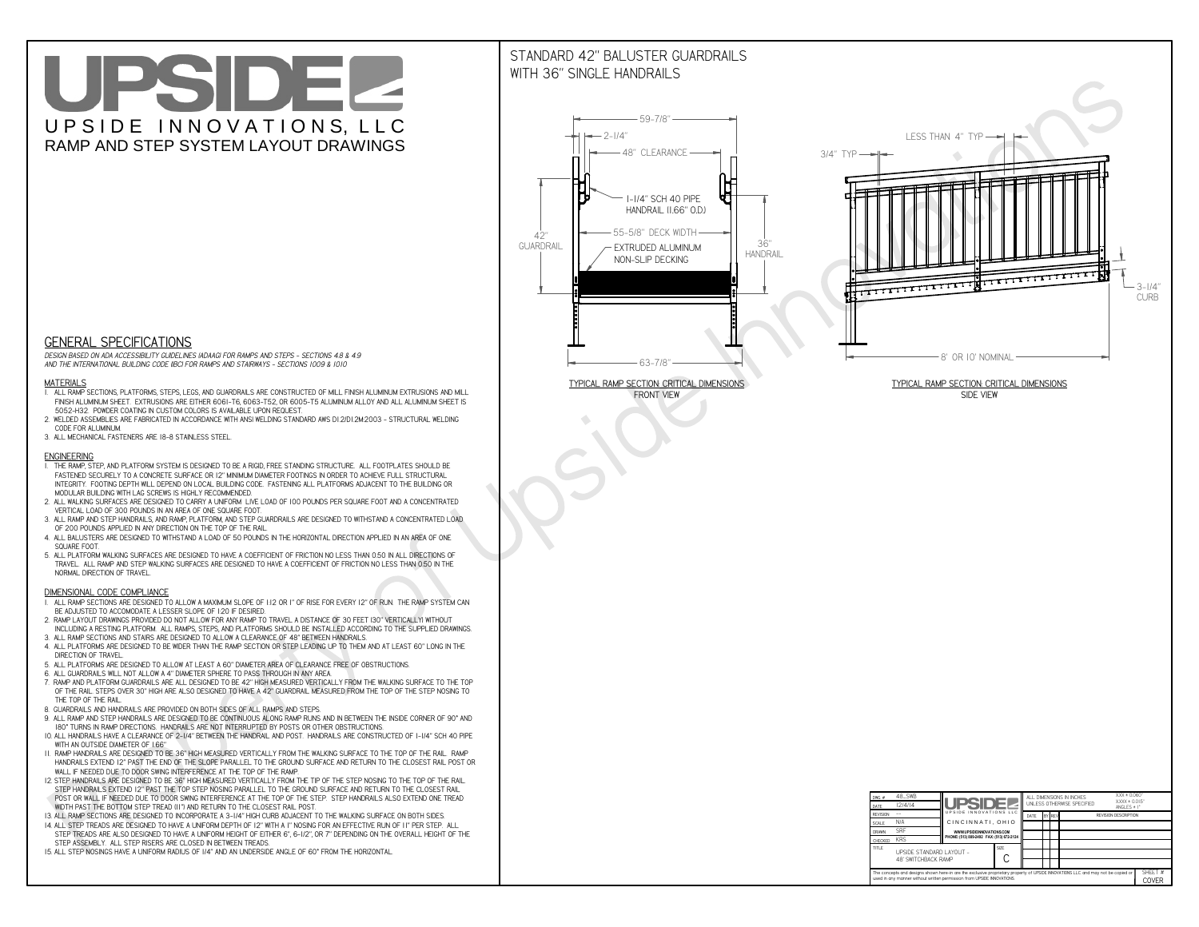# UPSIDEL UPSIDE INNOVATIONS, LLC RAMP AND STEP SYSTEM LAYOUT DRAWINGS

## STANDARD 42" BALUSTER GUARDRAILSWITH 36" SINGLE HANDRAILS

**FRONT VIEW**





**GENERAL SPECIFICATIONS**

 *DESIGN BASED ON ADA ACCESSIBILITY GUIDELINES (ADAAG) FOR RAMPS AND STEPS - SECTIONS 4.8 & 4.9AND THE INTERNATIONAL BUILDING CODE (IBC) FOR RAMPS AND STAIRWAYS - SECTIONS 1009 & 1010*

#### **MATERIALS**

- **1. ALL RAMP SECTIONS, PLATFORMS, STEPS, LEGS, AND GUARDRAILS ARE CONSTRUCTED OF MILL FINISH ALUMINUM EXTRUSIONS AND MILL FINISH ALUMINUM SHEET. EXTRUSIONS ARE EITHER 6061-T6, 6063-T52, OR 6005-T5 ALUMINUM ALLOY AND ALL ALUMINUM SHEET IS 5052-H32. POWDER COATING IN CUSTOM COLORS IS AVAILABLE UPON REQUEST.**
- **2. WELDED ASSEMBLIES ARE FABRICATED IN ACCORDANCE WITH ANSI WELDING STANDARD AWS D1.2/D1.2M:2003 STRUCTURAL WELDING CODE FOR ALUMINUM.**
- **3. ALL MECHANICAL FASTENERS ARE 18-8 STAINLESS STEEL.**

#### **ENGINEERING**

- **1. THE RAMP, STEP, AND PLATFORM SYSTEM IS DESIGNED TO BE A RIGID, FREE STANDING STRUCTURE. ALL FOOTPLATES SHOULD BE FASTENED SECURELY TO A CONCRETE SURFACE OR 12" MINIMUM DIAMETER FOOTINGS IN ORDER TO ACHIEVE FULL STRUCTURAL INTEGRITY. FOOTING DEPTH WILL DEPEND ON LOCAL BUILDING CODE. FASTENING ALL PLATFORMS ADJACENT TO THE BUILDING OR MODULAR BUILDING WITH LAG SCREWS IS HIGHLY RECOMMENDED.**
- **2. ALL WALKING SURFACES ARE DESIGNED TO CARRY A UNIFORM LIVE LOAD OF 100 POUNDS PER SQUARE FOOT AND A CONCENTRATED VERTICAL LOAD OF 300 POUNDS IN AN AREA OF ONE SQUARE FOOT.**
- **3. ALL RAMP AND STEP HANDRAILS, AND RAMP, PLATFORM, AND STEP GUARDRAILS ARE DESIGNED TO WITHSTAND A CONCENTRATED LOAD OF 200 POUNDS APPLIED IN ANY DIRECTION ON THE TOP OF THE RAIL.**
- **4. ALL BALUSTERS ARE DESIGNED TO WITHSTAND A LOAD OF 50 POUNDS IN THE HORIZONTAL DIRECTION APPLIED IN AN AREA OF ONE SQUARE FOOT.**
- **5. ALL PLATFORM WALKING SURFACES ARE DESIGNED TO HAVE A COEFFICIENT OF FRICTION NO LESS THAN 0.50 IN ALL DIRECTIONS OF TRAVEL. ALL RAMP AND STEP WALKING SURFACES ARE DESIGNED TO HAVE A COEFFICIENT OF FRICTION NO LESS THAN 0.50 IN THE NORMAL DIRECTION OF TRAVEL.**

| $DWG.$ #<br>DATE                                                                                                                                                                                            | 48_SWB<br>12/4/14                               | UPSIDEL                                   |             | ALL DIMENSIONS IN INCHES<br>UNI FSS OTHERWISE SPECIFIED |  |               |                             | $XXX = 0.060"$<br>$XXX \pm 0.015$ "<br>ANGLES $\pm$ 1° |                  |
|-------------------------------------------------------------------------------------------------------------------------------------------------------------------------------------------------------------|-------------------------------------------------|-------------------------------------------|-------------|---------------------------------------------------------|--|---------------|-----------------------------|--------------------------------------------------------|------------------|
| <b>REVISION</b>                                                                                                                                                                                             |                                                 | UPSIDE INNOVATIONS LLC                    |             | DATE                                                    |  | <b>BY REV</b> | <b>REVISION DESCRIPTION</b> |                                                        |                  |
| <b>SCALE</b>                                                                                                                                                                                                | N/A                                             | CINCINNATI, OHIO                          |             |                                                         |  |               |                             |                                                        |                  |
| <b>DRAWN</b>                                                                                                                                                                                                | <b>SRF</b>                                      | WWW.UPSIDEINNOVATIONS.COM                 |             |                                                         |  |               |                             |                                                        |                  |
| CHECKED                                                                                                                                                                                                     | <b>KRS</b>                                      | PHONE: (513) 889-2492 FAX: (513) 672-2124 |             |                                                         |  |               |                             |                                                        |                  |
| <b>TITLE</b>                                                                                                                                                                                                | UPSIDE STANDARD LAYOUT -<br>48' SWITCHBACK RAMP |                                           | <b>SIZE</b> |                                                         |  |               |                             |                                                        |                  |
| The concepts and designs shown here-in are the exclusive proprietary property of UPSIDE INNOVATIONS LLC. and may not be copied or<br>used in any manner without written permission from UPSIDE INNOVATIONS. |                                                 |                                           |             |                                                         |  |               |                             |                                                        | SHEET #<br>COVER |

### **DIMENSIONAL CODE COMPLIANCE**

- **1. ALL RAMP SECTIONS ARE DESIGNED TO ALLOW A MAXIMUM SLOPE OF 1:12 OR 1" OF RISE FOR EVERY 12" OF RUN. THE RAMP SYSTEM CAN BE ADJUSTED TO ACCOMODATE A LESSER SLOPE OF 1:20 IF DESIRED.**
- **2. RAMP LAYOUT DRAWINGS PROVIDED DO NOT ALLOW FOR ANY RAMP TO TRAVEL A DISTANCE OF 30 FEET (30" VERTICALLY) WITHOUT INCLUDING A RESTING PLATFORM. ALL RAMPS, STEPS, AND PLATFORMS SHOULD BE INSTALLED ACCORDING TO THE SUPPLIED DRAWINGS.**
- **3. ALL RAMP SECTIONS AND STAIRS ARE DESIGNED TO ALLOW A CLEARANCE OF 48" BETWEEN HANDRAILS.**
- **4. ALL PLATFORMS ARE DESIGNED TO BE WIDER THAN THE RAMP SECTION OR STEP LEADING UP TO THEM AND AT LEAST 60" LONG IN THE DIRECTION OF TRAVEL.**
- **5. ALL PLATFORMS ARE DESIGNED TO ALLOW AT LEAST A 60" DIAMETER AREA OF CLEARANCE FREE OF OBSTRUCTIONS.**
- **6. ALL GUARDRAILS WILL NOT ALLOW A 4" DIAMETER SPHERE TO PASS THROUGH IN ANY AREA.**
- **7. RAMP AND PLATFORM GUARDRAILS ARE ALL DESIGNED TO BE 42" HIGH MEASURED VERTICALLY FROM THE WALKING SURFACE TO THE TOP OF THE RAIL. STEPS OVER 30" HIGH ARE ALSO DESIGNED TO HAVE A 42" GUARDRAIL MEASURED FROM THE TOP OF THE STEP NOSING TO THE TOP OF THE RAIL.**
- **8. GUARDRAILS AND HANDRAILS ARE PROVIDED ON BOTH SIDES OF ALL RAMPS AND STEPS.**
- **9. ALL RAMP AND STEP HANDRAILS ARE DESIGNED TO BE CONTINUOUS ALONG RAMP RUNS AND IN BETWEEN THE INSIDE CORNER OF 90° AND 180° TURNS IN RAMP DIRECTIONS. HANDRAILS ARE NOT INTERRUPTED BY POSTS OR OTHER OBSTRUCTIONS.**
- **10. ALL HANDRAILS HAVE A CLEARANCE OF 2-1/4" BETWEEN THE HANDRAIL AND POST. HANDRAILS ARE CONSTRUCTED OF 1-1/4" SCH 40 PIPE WITH AN OUTSIDE DIAMETER OF 1.66"**
- **11. RAMP HANDRAILS ARE DESIGNED TO BE 36" HIGH MEASURED VERTICALLY FROM THE WALKING SURFACE TO THE TOP OF THE RAIL. RAMP HANDRAILS EXTEND 12" PAST THE END OF THE SLOPE PARALLEL TO THE GROUND SURFACE AND RETURN TO THE CLOSEST RAIL POST OR WALL IF NEEDED DUE TO DOOR SWING INTERFERENCE AT THE TOP OF THE RAMP.**
- **12. STEP HANDRAILS ARE DESIGNED TO BE 36" HIGH MEASURED VERTICALLY FROM THE TIP OF THE STEP NOSING TO THE TOP OF THE RAIL. STEP HANDRAILS EXTEND 12" PAST THE TOP STEP NOSING PARALLEL TO THE GROUND SURFACE AND RETURN TO THE CLOSEST RAIL POST OR WALL IF NEEDED DUE TO DOOR SWING INTERFERENCE AT THE TOP OF THE STEP. STEP HANDRAILS ALSO EXTEND ONE TREAD**
- **WIDTH PAST THE BOTTOM STEP TREAD (11") AND RETURN TO THE CLOSEST RAIL POST.**
- **13. ALL RAMP SECTIONS ARE DESIGNED TO INCORPORATE A 3-1/4" HIGH CURB ADJACENT TO THE WALKING SURFACE ON BOTH SIDES.**
- **14. ALL STEP TREADS ARE DESIGNED TO HAVE A UNIFORM DEPTH OF 12" WITH A 1" NOSING FOR AN EFFECTIVE RUN OF 11" PER STEP. ALL STEP TREADS ARE ALSO DESIGNED TO HAVE A UNIFORM HEIGHT OF EITHER 6", 6-1/2", OR 7" DEPENDING ON THE OVERALL HEIGHT OF THE STEP ASSEMBLY. ALL STEP RISERS ARE CLOSED IN BETWEEN TREADS.**
- **15. ALL STEP NOSINGS HAVE A UNIFORM RADIUS OF 1/4" AND AN UNDERSIDE ANGLE OF 60° FROM THE HORIZONTAL.**